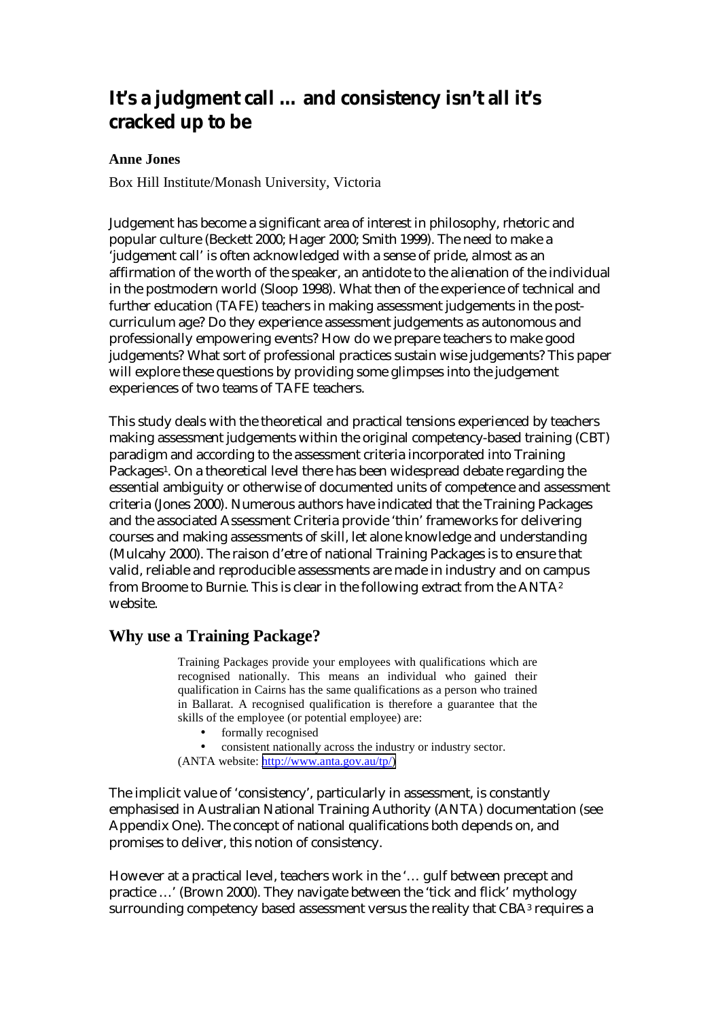# **It's a judgment call … and consistency isn't all it's cracked up to be**

### **Anne Jones**

Box Hill Institute/Monash University, Victoria

Judgement has become a significant area of interest in philosophy, rhetoric and popular culture (Beckett 2000; Hager 2000; Smith 1999). The need to make a 'judgement call' is often acknowledged with a sense of pride, almost as an affirmation of the worth of the speaker, an antidote to the alienation of the individual in the postmodern world (Sloop 1998). What then of the experience of technical and further education (TAFE) teachers in making assessment judgements in the postcurriculum age? Do they experience assessment judgements as autonomous and professionally empowering events? How do we prepare teachers to make good judgements? What sort of professional practices sustain wise judgements? This paper will explore these questions by providing some glimpses into the judgement experiences of two teams of TAFE teachers.

This study deals with the theoretical and practical tensions experienced by teachers making assessment judgements within the original competency-based training (CBT) paradigm and according to the assessment criteria incorporated into Training Packages1. On a theoretical level there has been widespread debate regarding the essential ambiguity or otherwise of documented units of competence and assessment criteria (Jones 2000). Numerous authors have indicated that the Training Packages and the associated Assessment Criteria provide 'thin' frameworks for delivering courses and making assessments of skill, let alone knowledge and understanding (Mulcahy 2000). The raison d'etre of national Training Packages is to ensure that valid, reliable and reproducible assessments are made in industry and on campus from Broome to Burnie. This is clear in the following extract from the ANTA2 website.

# **Why use a Training Package?**

Training Packages provide your employees with qualifications which are recognised nationally. This means an individual who gained their qualification in Cairns has the same qualifications as a person who trained in Ballarat. A recognised qualification is therefore a guarantee that the skills of the employee (or potential employee) are:

- formally recognised
- consistent nationally across the industry or industry sector.

(ANTA website: [http://www.anta.gov.au/tp/\)](http://www.anta.gov.au/tp/)

The implicit value of 'consistency', particularly in assessment, is constantly emphasised in Australian National Training Authority (ANTA) documentation (see Appendix One). The concept of national qualifications both depends on, and promises to deliver, this notion of consistency.

However at a practical level, teachers work in the '… gulf between precept and practice …' (Brown 2000). They navigate between the 'tick and flick' mythology surrounding competency based assessment versus the reality that CBA3 requires a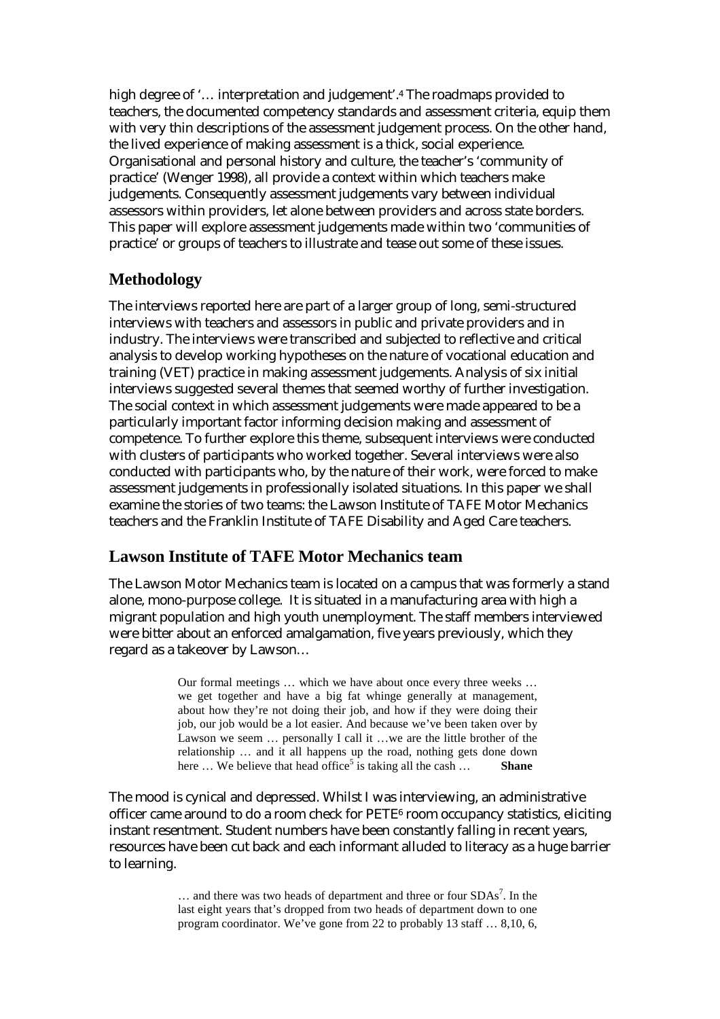high degree of '... interpretation and judgement'.<sup>4</sup> The roadmaps provided to teachers, the documented competency standards and assessment criteria, equip them with very thin descriptions of the assessment judgement process. On the other hand, the lived experience of making assessment is a thick, social experience. Organisational and personal history and culture, the teacher's 'community of practice' (Wenger 1998), all provide a context within which teachers make judgements. Consequently assessment judgements vary between individual assessors within providers, let alone between providers and across state borders. This paper will explore assessment judgements made within two 'communities of practice' or groups of teachers to illustrate and tease out some of these issues.

# **Methodology**

The interviews reported here are part of a larger group of long, semi-structured interviews with teachers and assessors in public and private providers and in industry. The interviews were transcribed and subjected to reflective and critical analysis to develop working hypotheses on the nature of vocational education and training (VET) practice in making assessment judgements. Analysis of six initial interviews suggested several themes that seemed worthy of further investigation. The social context in which assessment judgements were made appeared to be a particularly important factor informing decision making and assessment of competence. To further explore this theme, subsequent interviews were conducted with clusters of participants who worked together. Several interviews were also conducted with participants who, by the nature of their work, were forced to make assessment judgements in professionally isolated situations. In this paper we shall examine the stories of two teams: the Lawson Institute of TAFE Motor Mechanics teachers and the Franklin Institute of TAFE Disability and Aged Care teachers.

# **Lawson Institute of TAFE Motor Mechanics team**

The Lawson Motor Mechanics team is located on a campus that was formerly a stand alone, mono-purpose college. It is situated in a manufacturing area with high a migrant population and high youth unemployment. The staff members interviewed were bitter about an enforced amalgamation, five years previously, which they regard as a takeover by Lawson…

> Our formal meetings … which we have about once every three weeks … we get together and have a big fat whinge generally at management, about how they're not doing their job, and how if they were doing their job, our job would be a lot easier. And because we've been taken over by Lawson we seem … personally I call it …we are the little brother of the relationship … and it all happens up the road, nothing gets done down here ... We believe that head office<sup>5</sup> is taking all the cash ... **Shane**

The mood is cynical and depressed. Whilst I was interviewing, an administrative officer came around to do a room check for PETE6 room occupancy statistics, eliciting instant resentment. Student numbers have been constantly falling in recent years, resources have been cut back and each informant alluded to literacy as a huge barrier to learning.

> $\ldots$  and there was two heads of department and three or four SDAs<sup>7</sup>. In the last eight years that's dropped from two heads of department down to one program coordinator. We've gone from 22 to probably 13 staff … 8,10, 6,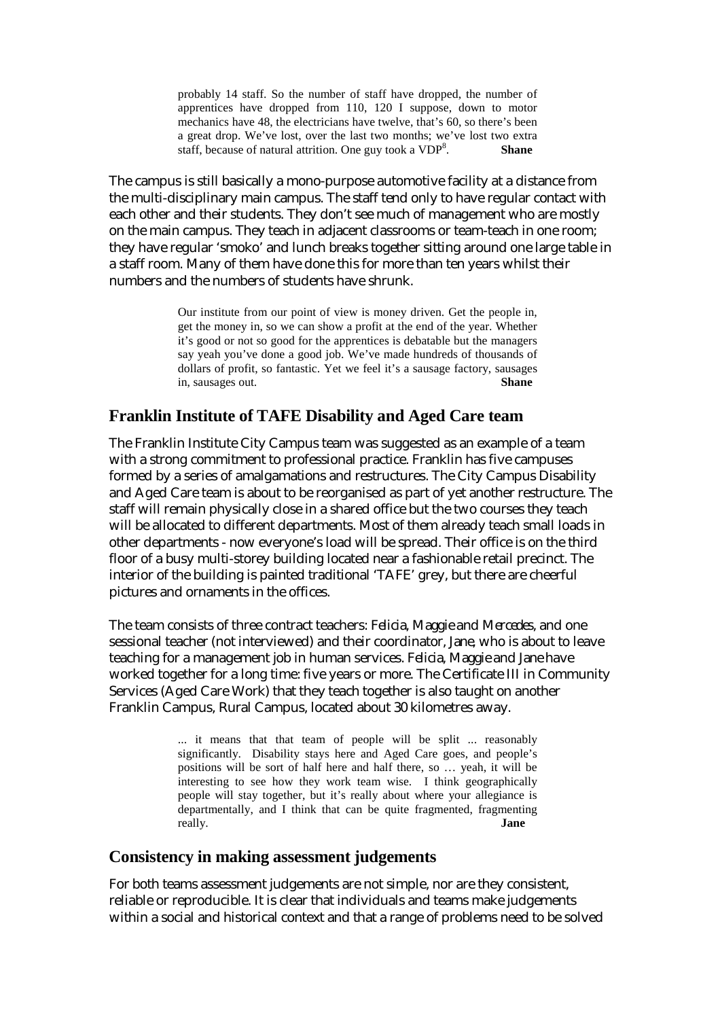probably 14 staff. So the number of staff have dropped, the number of apprentices have dropped from 110, 120 I suppose, down to motor mechanics have 48, the electricians have twelve, that's 60, so there's been a great drop. We've lost, over the last two months; we've lost two extra staff, because of natural attrition. One guy took a  $VDP<sup>8</sup>$ . . **Shane**

The campus is still basically a mono-purpose automotive facility at a distance from the multi-disciplinary main campus. The staff tend only to have regular contact with each other and their students. They don't see much of management who are mostly on the main campus. They teach in adjacent classrooms or team-teach in one room; they have regular 'smoko' and lunch breaks together sitting around one large table in a staff room. Many of them have done this for more than ten years whilst their numbers and the numbers of students have shrunk.

> Our institute from our point of view is money driven. Get the people in, get the money in, so we can show a profit at the end of the year. Whether it's good or not so good for the apprentices is debatable but the managers say yeah you've done a good job. We've made hundreds of thousands of dollars of profit, so fantastic. Yet we feel it's a sausage factory, sausages in, sausages out. **Shane**

# **Franklin Institute of TAFE Disability and Aged Care team**

The Franklin Institute City Campus team was suggested as an example of a team with a strong commitment to professional practice. Franklin has five campuses formed by a series of amalgamations and restructures. The City Campus Disability and Aged Care team is about to be reorganised as part of yet another restructure. The staff will remain physically close in a shared office but the two courses they teach will be allocated to different departments. Most of them already teach small loads in other departments - now everyone's load will be spread. Their office is on the third floor of a busy multi-storey building located near a fashionable retail precinct. The interior of the building is painted traditional 'TAFE' grey, but there are cheerful pictures and ornaments in the offices.

The team consists of three contract teachers: *Felicia*, *Maggie* and *Mercedes*, and one sessional teacher (not interviewed) and their coordinator, *Jane*, who is about to leave teaching for a management job in human services. *Felicia*, *Maggie* and *Jane* have worked together for a long time: five years or more. The Certificate III in Community Services (Aged Care Work) that they teach together is also taught on another Franklin Campus, Rural Campus, located about 30 kilometres away.

> ... it means that that team of people will be split ... reasonably significantly. Disability stays here and Aged Care goes, and people's positions will be sort of half here and half there, so … yeah, it will be interesting to see how they work team wise. I think geographically people will stay together, but it's really about where your allegiance is departmentally, and I think that can be quite fragmented, fragmenting really. **Jane**

### **Consistency in making assessment judgements**

For both teams assessment judgements are not simple, nor are they consistent, reliable or reproducible. It is clear that individuals and teams make judgements within a social and historical context and that a range of problems need to be solved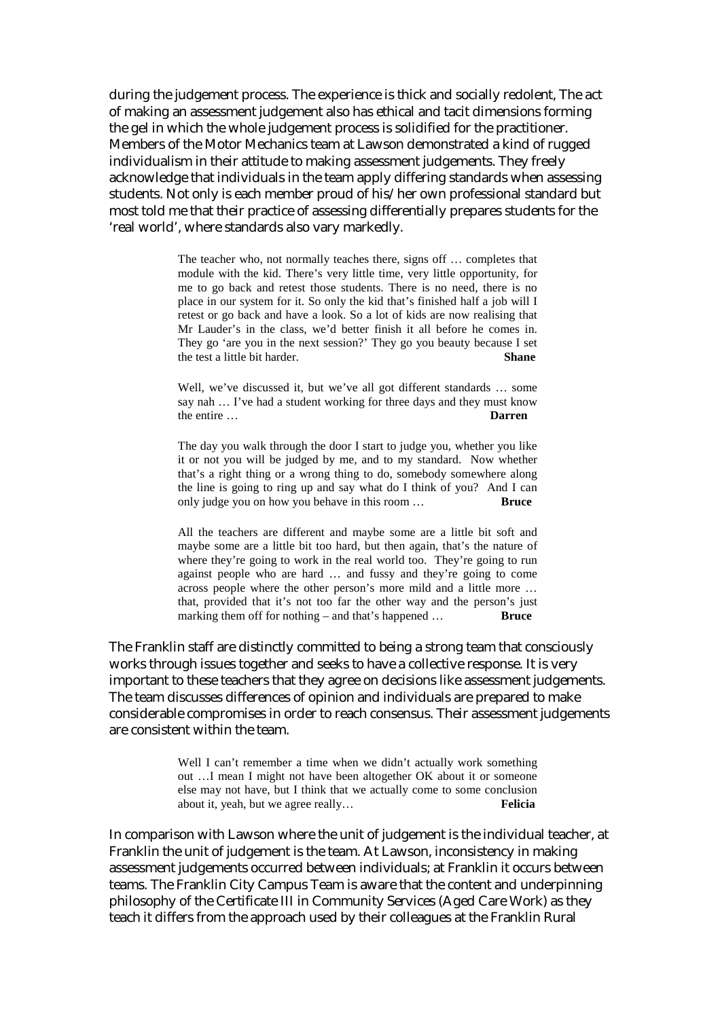during the judgement process. The experience is thick and socially redolent, The act of making an assessment judgement also has ethical and tacit dimensions forming the gel in which the whole judgement process is solidified for the practitioner. Members of the Motor Mechanics team at Lawson demonstrated a kind of rugged individualism in their attitude to making assessment judgements. They freely acknowledge that individuals in the team apply differing standards when assessing students. Not only is each member proud of his/her own professional standard but most told me that their practice of assessing differentially prepares students for the 'real world', where standards also vary markedly.

> The teacher who, not normally teaches there, signs off … completes that module with the kid. There's very little time, very little opportunity, for me to go back and retest those students. There is no need, there is no place in our system for it. So only the kid that's finished half a job will I retest or go back and have a look. So a lot of kids are now realising that Mr Lauder's in the class, we'd better finish it all before he comes in. They go 'are you in the next session?' They go you beauty because I set the test a little bit harder. **Shane**

> Well, we've discussed it, but we've all got different standards … some say nah … I've had a student working for three days and they must know the entire … **Darren**

> The day you walk through the door I start to judge you, whether you like it or not you will be judged by me, and to my standard. Now whether that's a right thing or a wrong thing to do, somebody somewhere along the line is going to ring up and say what do I think of you? And I can only judge you on how you behave in this room … **Bruce**

> All the teachers are different and maybe some are a little bit soft and maybe some are a little bit too hard, but then again, that's the nature of where they're going to work in the real world too. They're going to run against people who are hard … and fussy and they're going to come across people where the other person's more mild and a little more … that, provided that it's not too far the other way and the person's just marking them off for nothing – and that's happened ... **Bruce**

The Franklin staff are distinctly committed to being a strong team that consciously works through issues together and seeks to have a collective response. It is very important to these teachers that they agree on decisions like assessment judgements. The team discusses differences of opinion and individuals are prepared to make considerable compromises in order to reach consensus. Their assessment judgements are consistent within the team.

> Well I can't remember a time when we didn't actually work something out …I mean I might not have been altogether OK about it or someone else may not have, but I think that we actually come to some conclusion about it, yeah, but we agree really… **Felicia**

In comparison with Lawson where the unit of judgement is the individual teacher, at Franklin the unit of judgement is the team. At Lawson, inconsistency in making assessment judgements occurred between individuals; at Franklin it occurs between teams. The Franklin City Campus Team is aware that the content and underpinning philosophy of the Certificate III in Community Services (Aged Care Work) as they teach it differs from the approach used by their colleagues at the Franklin Rural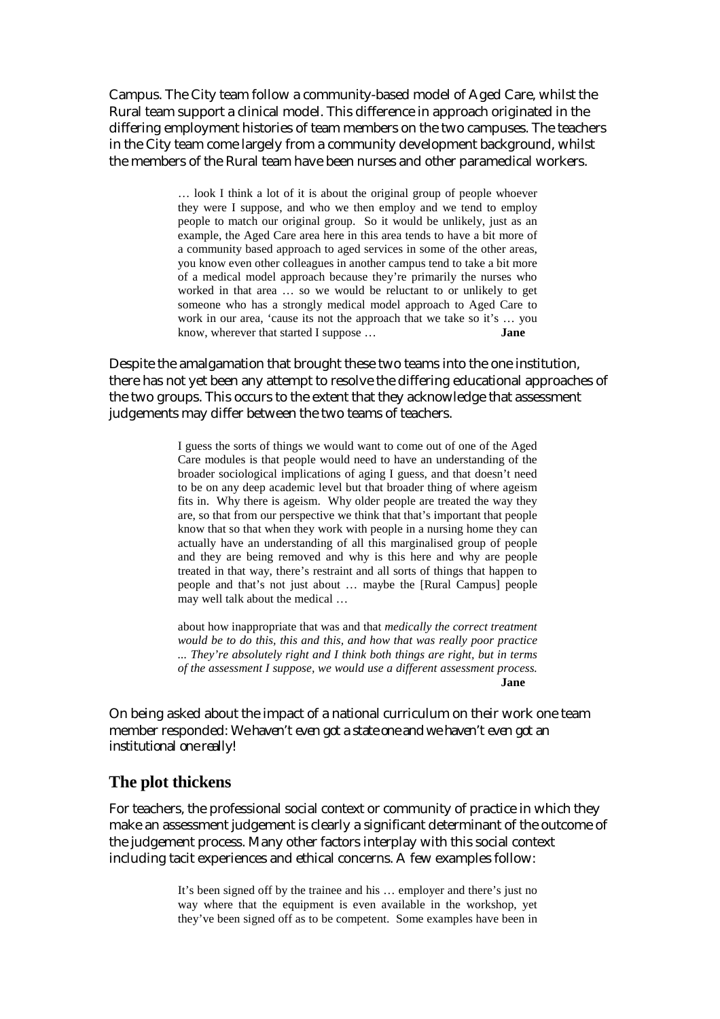Campus. The City team follow a community-based model of Aged Care, whilst the Rural team support a clinical model. This difference in approach originated in the differing employment histories of team members on the two campuses. The teachers in the City team come largely from a community development background, whilst the members of the Rural team have been nurses and other paramedical workers.

> … look I think a lot of it is about the original group of people whoever they were I suppose, and who we then employ and we tend to employ people to match our original group. So it would be unlikely, just as an example, the Aged Care area here in this area tends to have a bit more of a community based approach to aged services in some of the other areas, you know even other colleagues in another campus tend to take a bit more of a medical model approach because they're primarily the nurses who worked in that area … so we would be reluctant to or unlikely to get someone who has a strongly medical model approach to Aged Care to work in our area, 'cause its not the approach that we take so it's … you know, wherever that started I suppose … **Jane**

Despite the amalgamation that brought these two teams into the one institution, there has not yet been any attempt to resolve the differing educational approaches of the two groups. This occurs to the extent that they acknowledge that assessment judgements may differ between the two teams of teachers.

> I guess the sorts of things we would want to come out of one of the Aged Care modules is that people would need to have an understanding of the broader sociological implications of aging I guess, and that doesn't need to be on any deep academic level but that broader thing of where ageism fits in. Why there is ageism. Why older people are treated the way they are, so that from our perspective we think that that's important that people know that so that when they work with people in a nursing home they can actually have an understanding of all this marginalised group of people and they are being removed and why is this here and why are people treated in that way, there's restraint and all sorts of things that happen to people and that's not just about … maybe the [Rural Campus] people may well talk about the medical …

> about how inappropriate that was and that *medically the correct treatment would be to do this, this and this, and how that was really poor practice ... They're absolutely right and I think both things are right, but in terms of the assessment I suppose, we would use a different assessment process.* **Jane**

On being asked about the impact of a national curriculum on their work one team member responded: *We haven't even got a state one and we haven't even got an institutional one really!* 

#### **The plot thickens**

For teachers, the professional social context or community of practice in which they make an assessment judgement is clearly a significant determinant of the outcome of the judgement process. Many other factors interplay with this social context including tacit experiences and ethical concerns. A few examples follow:

> It's been signed off by the trainee and his … employer and there's just no way where that the equipment is even available in the workshop, yet they've been signed off as to be competent. Some examples have been in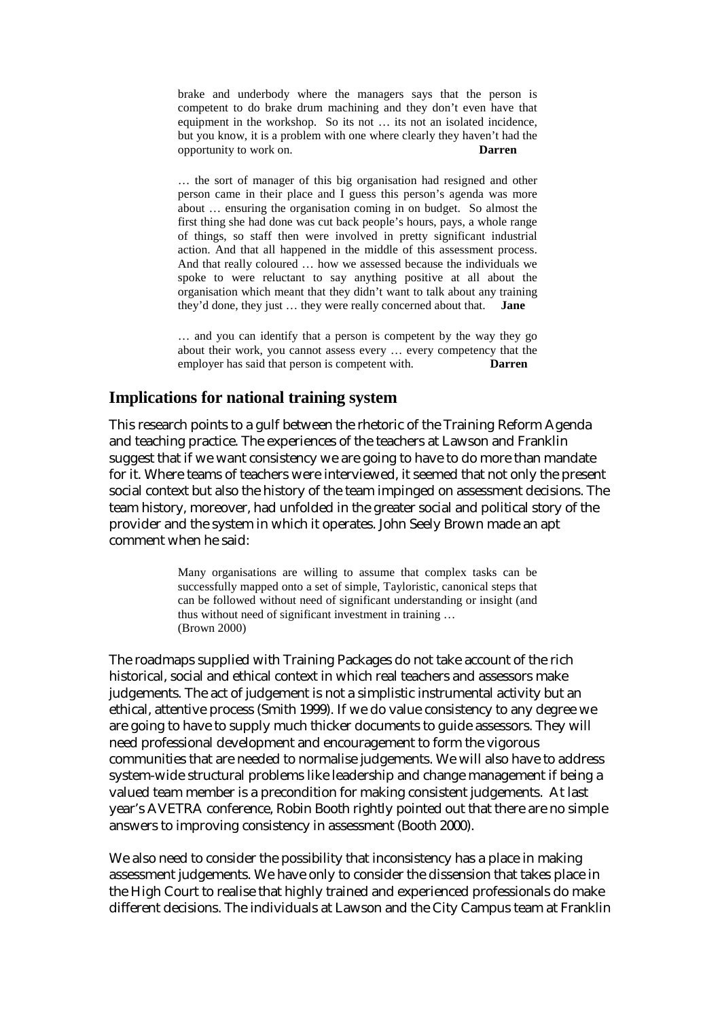brake and underbody where the managers says that the person is competent to do brake drum machining and they don't even have that equipment in the workshop. So its not … its not an isolated incidence, but you know, it is a problem with one where clearly they haven't had the opportunity to work on. **Darren**

… the sort of manager of this big organisation had resigned and other person came in their place and I guess this person's agenda was more about … ensuring the organisation coming in on budget. So almost the first thing she had done was cut back people's hours, pays, a whole range of things, so staff then were involved in pretty significant industrial action. And that all happened in the middle of this assessment process. And that really coloured … how we assessed because the individuals we spoke to were reluctant to say anything positive at all about the organisation which meant that they didn't want to talk about any training they'd done, they just … they were really concerned about that. **Jane** 

… and you can identify that a person is competent by the way they go about their work, you cannot assess every … every competency that the employer has said that person is competent with. **Darren** 

### **Implications for national training system**

This research points to a gulf between the rhetoric of the Training Reform Agenda and teaching practice. The experiences of the teachers at Lawson and Franklin suggest that if we want consistency we are going to have to do more than mandate for it. Where teams of teachers were interviewed, it seemed that not only the present social context but also the history of the team impinged on assessment decisions. The team history, moreover, had unfolded in the greater social and political story of the provider and the system in which it operates. John Seely Brown made an apt comment when he said:

> Many organisations are willing to assume that complex tasks can be successfully mapped onto a set of simple, Tayloristic, canonical steps that can be followed without need of significant understanding or insight (and thus without need of significant investment in training … (Brown 2000)

The roadmaps supplied with Training Packages do not take account of the rich historical, social and ethical context in which real teachers and assessors make judgements. The act of judgement is not a simplistic instrumental activity but an ethical, attentive process (Smith 1999). If we do value consistency to any degree we are going to have to supply much thicker documents to guide assessors. They will need professional development and encouragement to form the vigorous communities that are needed to normalise judgements. We will also have to address system-wide structural problems like leadership and change management if being a valued team member is a precondition for making consistent judgements. At last year's AVETRA conference, Robin Booth rightly pointed out that there are no simple answers to improving consistency in assessment (Booth 2000).

We also need to consider the possibility that inconsistency has a place in making assessment judgements. We have only to consider the dissension that takes place in the High Court to realise that highly trained and experienced professionals do make different decisions. The individuals at Lawson and the City Campus team at Franklin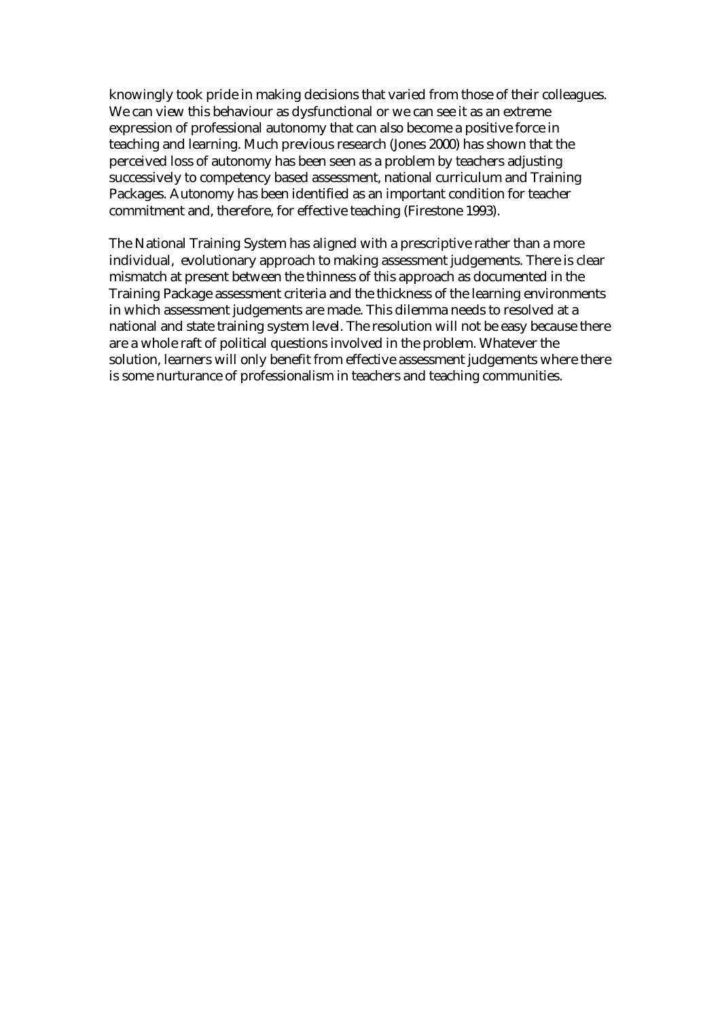knowingly took pride in making decisions that varied from those of their colleagues. We can view this behaviour as dysfunctional or we can see it as an extreme expression of professional autonomy that can also become a positive force in teaching and learning. Much previous research (Jones 2000) has shown that the perceived loss of autonomy has been seen as a problem by teachers adjusting successively to competency based assessment, national curriculum and Training Packages. Autonomy has been identified as an important condition for teacher commitment and, therefore, for effective teaching (Firestone 1993).

The National Training System has aligned with a prescriptive rather than a more individual, evolutionary approach to making assessment judgements. There is clear mismatch at present between the thinness of this approach as documented in the Training Package assessment criteria and the thickness of the learning environments in which assessment judgements are made. This dilemma needs to resolved at a national and state training system level. The resolution will not be easy because there are a whole raft of political questions involved in the problem. Whatever the solution, learners will only benefit from effective assessment judgements where there is some nurturance of professionalism in teachers and teaching communities.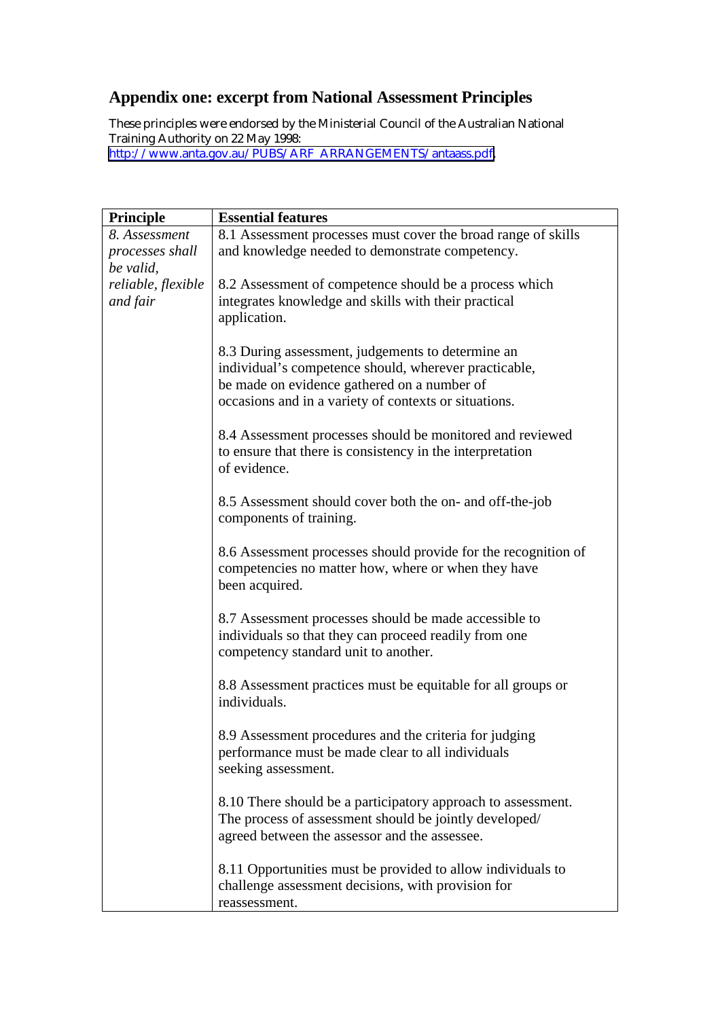# **Appendix one: excerpt from National Assessment Principles**

These principles were endorsed by the Ministerial Council of the Australian National Training Authority on 22 May 1998: [http://www.anta.gov.au/PUBS/ARF\\_ARRANGEMENTS/antaass.pdf.](http://www.anta.gov.au/PUBS/ARF_ARRANGEMENTS/antaass.pdf)

| Principle          | <b>Essential features</b>                                                                                                                                                                                          |
|--------------------|--------------------------------------------------------------------------------------------------------------------------------------------------------------------------------------------------------------------|
| 8. Assessment      | 8.1 Assessment processes must cover the broad range of skills                                                                                                                                                      |
| processes shall    | and knowledge needed to demonstrate competency.                                                                                                                                                                    |
| be valid.          |                                                                                                                                                                                                                    |
| reliable, flexible | 8.2 Assessment of competence should be a process which                                                                                                                                                             |
| and fair           | integrates knowledge and skills with their practical                                                                                                                                                               |
|                    | application.                                                                                                                                                                                                       |
|                    | 8.3 During assessment, judgements to determine an<br>individual's competence should, wherever practicable,<br>be made on evidence gathered on a number of<br>occasions and in a variety of contexts or situations. |
|                    | 8.4 Assessment processes should be monitored and reviewed<br>to ensure that there is consistency in the interpretation<br>of evidence.                                                                             |
|                    | 8.5 Assessment should cover both the on- and off-the-job<br>components of training.                                                                                                                                |
|                    | 8.6 Assessment processes should provide for the recognition of<br>competencies no matter how, where or when they have<br>been acquired.                                                                            |
|                    | 8.7 Assessment processes should be made accessible to<br>individuals so that they can proceed readily from one<br>competency standard unit to another.                                                             |
|                    | 8.8 Assessment practices must be equitable for all groups or<br>individuals.                                                                                                                                       |
|                    | 8.9 Assessment procedures and the criteria for judging<br>performance must be made clear to all individuals<br>seeking assessment.                                                                                 |
|                    | 8.10 There should be a participatory approach to assessment.<br>The process of assessment should be jointly developed/                                                                                             |
|                    | agreed between the assessor and the assessee.                                                                                                                                                                      |
|                    | 8.11 Opportunities must be provided to allow individuals to<br>challenge assessment decisions, with provision for<br>reassessment.                                                                                 |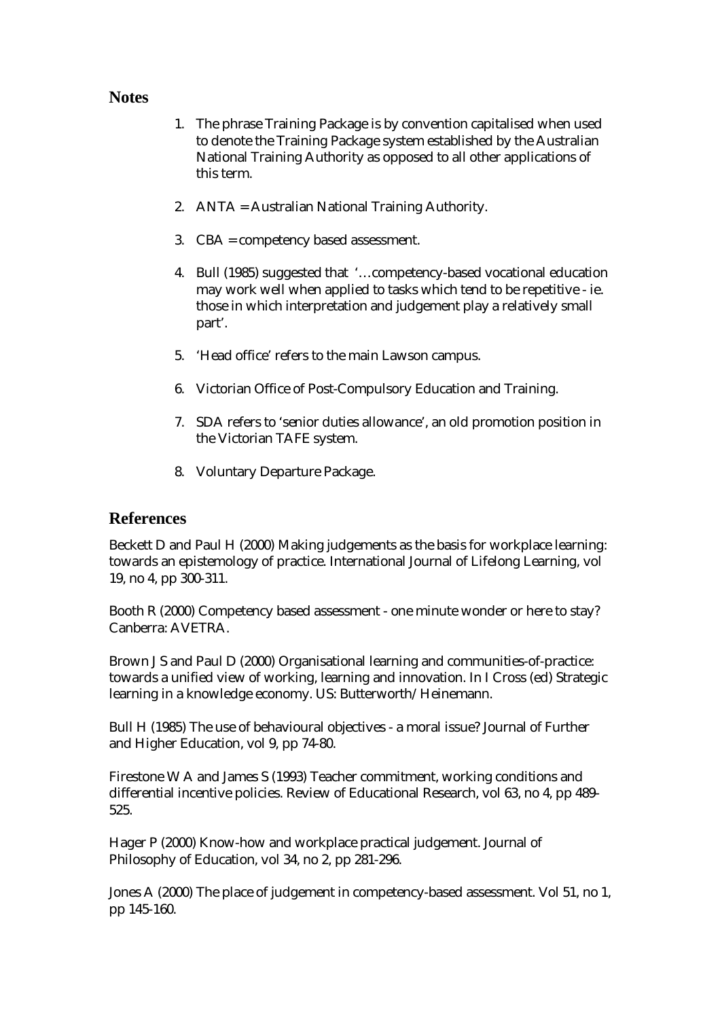### **Notes**

- 1. The phrase Training Package is by convention capitalised when used to denote the Training Package system established by the Australian National Training Authority as opposed to all other applications of this term.
- 2. ANTA = Australian National Training Authority.
- 3. CBA = competency based assessment.
- 4. Bull (1985) suggested that '…competency-based vocational education may work well when applied to tasks which tend to be repetitive - ie. those in which interpretation and judgement play a relatively small part'.
- 5. 'Head office' refers to the main Lawson campus.
- 6. Victorian Office of Post-Compulsory Education and Training.
- 7. SDA refers to 'senior duties allowance', an old promotion position in the Victorian TAFE system.
- 8. Voluntary Departure Package.

### **References**

Beckett D and Paul H (2000) Making judgements as the basis for workplace learning: towards an epistemology of practice. International Journal of Lifelong Learning, vol 19, no 4, pp 300-311.

Booth R (2000) Competency based assessment - one minute wonder or here to stay? Canberra: AVETRA.

Brown J S and Paul D (2000) Organisational learning and communities-of-practice: towards a unified view of working, learning and innovation. In I Cross (ed) Strategic learning in a knowledge economy. US: Butterworth/Heinemann.

Bull H (1985) The use of behavioural objectives - a moral issue? Journal of Further and Higher Education, vol 9, pp 74-80.

Firestone W A and James S (1993) Teacher commitment, working conditions and differential incentive policies. Review of Educational Research, vol 63, no 4, pp 489- 525.

Hager P (2000) Know-how and workplace practical judgement. Journal of Philosophy of Education, vol 34, no 2, pp 281-296.

Jones A (2000) The place of judgement in competency-based assessment. Vol 51, no 1, pp 145-160.